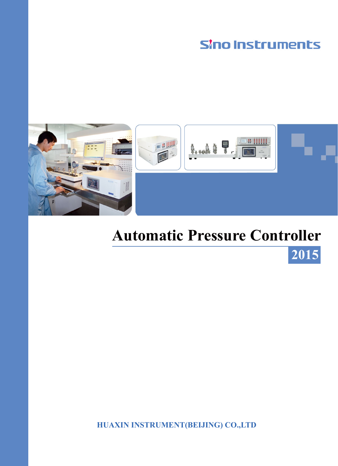# **Sino Instruments**



# **Automatic Pressure Controller**

**2015**

**HUAXIN INSTRUMENT(BEIJING) CO.,LTD**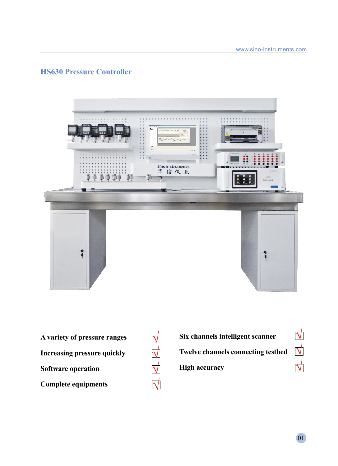## **HS630 Pressure Controller**



 $\overline{\sqrt{}}$ 

√

 $\overrightarrow{\mathsf{V}}$ 

 $\overrightarrow{\Delta}$ 

- **A variety of pressure ranges Increasing pressure quickly Software operation Complete equipments**
- **Six channels intelligent scanner Twelve channels connecting testbed High accuracy** √  $\overrightarrow{\mathsf{V}}$ √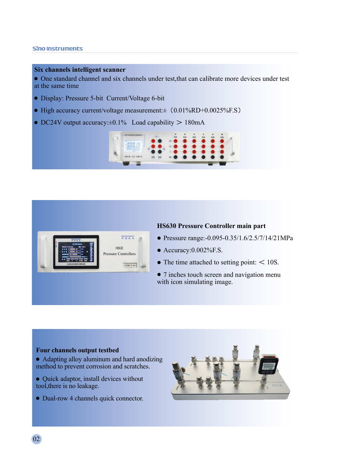#### Sino Instruments

#### **Six channels intelligent scanner**

One standard channel and six channels under test,that can calibrate more devices under test at the same time

- Display: Pressure 5-bit Current/Voltage 6-bit
- $\bullet$  High accuracy current/voltage measurement: $\pm$  (0.01%RD+0.0025%F.S)
- $\bullet$  DC24V output accuracy: $\pm 0.1\%$  Load capability  $> 180$ mA





#### **HS630 Pressure Controller main part**

- Pressure range:-0.095-0.35/1.6/2.5/7/14/21MPa
- Accuracy:0.002%F.S.
- $\bullet$  The time attached to setting point:  $\leq 10$ S.
- 7 inches touch screen and navigation menu with icon simulating image.

#### **Four channels output testbed**

- Adapting alloy aluminum and hard anodizing method to prevent corrosion and scratches.
- Quick adaptor, install devices without tool,there is no leakage.
- Dual-row 4 channels quick connector.

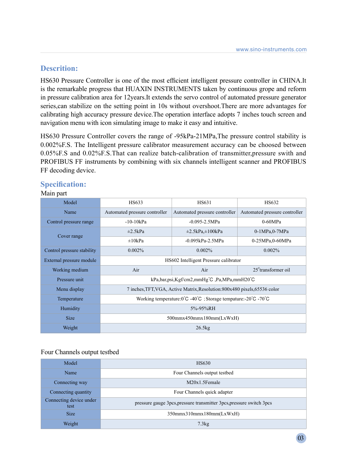## **Descrition:**

HS630 Pressure Controller is one of the most efficient intelligent pressure controller in CHINA.It is the remarkable progress that HUAXIN INSTRUMENTS taken by continuous grope and reform in pressure calibration area for 12years.It extends the servo control of automated pressure generator series,can stabilize on the setting point in 10s without overshoot.There are more advantages for calibrating high accuracy pressure device.The operation interface adopts 7 inches touch screen and navigation menu with icon simulating image to make it easy and intuitive.

HS630 Pressure Controller covers the range of -95kPa-21MPa,The pressure control stability is 0.002%F.S. The Intelligent pressure calibrator measurement accuracy can be choosed between 0.05%F.S and 0.02%F.S.That can realize batch-calibration of transmitter,pressure swith and PROFIBUS FF instruments by combining with six channels intelligent scanner and PROFIBUS FF decoding device.

| HS633                                                                                                     | HS631                         | HS632                             |
|-----------------------------------------------------------------------------------------------------------|-------------------------------|-----------------------------------|
| Automated pressure controller                                                                             | Automated pressure controller | Automated pressure controller     |
| $-10-10kPa$                                                                                               | $-0.095 - 2.5 MPa$            | $0-60MPa$                         |
| $\pm 2.5$ kPa                                                                                             | $\pm 2.5$ kPa, $\pm 100$ kPa  | $0-1MPa, 0-7MPa$                  |
| $\pm 10kPa$                                                                                               | $-0.095kPa - 2.5MPa$          | 0-25MPa,0-60MPa                   |
| 0.002%                                                                                                    | 0.002%                        | 0.002%                            |
| HS602 Intelligent Pressure calibrator                                                                     |                               |                                   |
| Air                                                                                                       | Air                           | $25$ <sup>*</sup> transformer oil |
| kPa,bar,psi,Kgf/cm2,mmHg°C,Pa,MPa,mmH20°C                                                                 |                               |                                   |
| 7 inches, TFT, VGA, Active Matrix, Resolution: 800x480 pixels, 65536 color                                |                               |                                   |
| Working temperature: $0^{\circ}$ C -40 $^{\circ}$ C ; Storage tempature:- $20^{\circ}$ C -70 $^{\circ}$ C |                               |                                   |
| 5%-95%RH                                                                                                  |                               |                                   |
| $500$ mmx $450$ mmx $180$ mm $(LxWxH)$                                                                    |                               |                                   |
| 26.5kg                                                                                                    |                               |                                   |
|                                                                                                           |                               |                                   |

## **Specification:**

### Main part

#### Four Channels output testbed

| Model                           | <b>HS630</b>                                                         |  |
|---------------------------------|----------------------------------------------------------------------|--|
| Name                            | Four Channels output testbed                                         |  |
| Connecting way                  | $M20x1.5$ Female                                                     |  |
| Connecting quantity             | Four Channels quick adapter                                          |  |
| Connecting device under<br>test | pressure gauge 3pcs, pressure transmitter 3pcs, pressure switch 3pcs |  |
| <b>Size</b>                     | $350$ mmx $310$ mmx $180$ mm $(LxWxH)$                               |  |
| Weight                          | 7.3kg                                                                |  |

03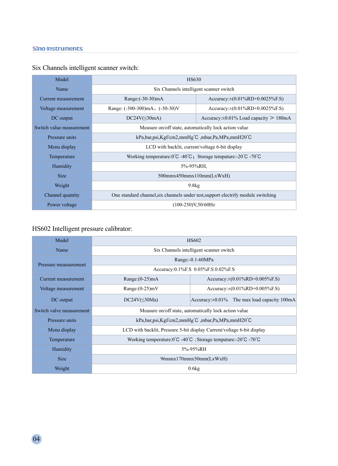| Model                    | HS630                                                                                                    |                                                 |
|--------------------------|----------------------------------------------------------------------------------------------------------|-------------------------------------------------|
| Name                     | Six Channels intelligent scanner switch                                                                  |                                                 |
| Current measurement      | Range: $(-30-30)mA$                                                                                      | Accuracy: $\pm (0.01\%RD + 0.0025\%F.S)$        |
| Voltage measurement      | Range: $(-300-300)$ mA, $(-30-30)$ V                                                                     | Accuracy: $\pm (0.01\%RD + 0.0025\%F.S)$        |
| DC output                | $DC24V(\leq 30mA)$                                                                                       | Accuracy: $\pm 0.01\%$ Load capacity $> 180$ mA |
| Switch value measurement | Measure on/off state, automatically lock action value                                                    |                                                 |
| Pressure units           | $kPa, bar, psi, Kgf/cm2, mmHg^{\circ}C, mbar, Pa, MPa, mmH20^{\circ}C$                                   |                                                 |
| Menu display             | LCD with backlit, current/voltage 6-bit display                                                          |                                                 |
| Temperature              | Working temperature: $0^{\circ}$ C -40 $^{\circ}$ C; Storage tempature:- $20^{\circ}$ C -70 $^{\circ}$ C |                                                 |
| Humidity                 | 5%-95%RH.                                                                                                |                                                 |
| <b>Size</b>              | $500$ mmx $450$ mmx $110$ mm $(LxWxH)$                                                                   |                                                 |
| Weight                   | 9.8kg                                                                                                    |                                                 |
| Channel quantity         | One standard channel, six channels under test, support electrify module switching                        |                                                 |
| Power voltage            | $(100-250)V50/60Hz$                                                                                      |                                                 |

# Six Channels intelligent scanner switch:

# HS602 Intelligent pressure calibrator:

| Model                    | <b>HS602</b>                                                                                              |                                                    |
|--------------------------|-----------------------------------------------------------------------------------------------------------|----------------------------------------------------|
| Name                     | Six Channels intelligent scanner switch                                                                   |                                                    |
| Pressure meassurement    | Range: $-0.1 - 60MPa$                                                                                     |                                                    |
|                          | Accuracy:0.1%F.S 0.05%F.S 0.02%F.S                                                                        |                                                    |
| Current measurement      | Range: $(0-25)$ mA                                                                                        | Accuracy: $\pm (0.01\%RD + 0.005\%F.S)$            |
| Voltage measurement      | Range: $(0-25)$ mV                                                                                        | Accuracy:±(0.01%RD+0.005%F.S)                      |
| DC output                | $DC24V(\leq)30Ma)$                                                                                        | Accuracy: $\pm 0.01\%$ The max load capacity 100mA |
| Switch valve measurement | Measure on/off state, automatically lock action value                                                     |                                                    |
| Pressure units           | kPa,bar,psi,Kgf/cm2,mmHg°C ,mbar,Pa,MPa,mmH20°C                                                           |                                                    |
| Menu display             | LCD with backlit, Pressure 5-bit display Current/voltage 6-bit display                                    |                                                    |
| Temperature              | Working temperature: $0^{\circ}$ C -40 $^{\circ}$ C ; Storage tempature:- $20^{\circ}$ C -70 $^{\circ}$ C |                                                    |
| Humidity                 | 5%-95%RH                                                                                                  |                                                    |
| <b>Size</b>              | 96mmx170mmx50mm(LxWxH)                                                                                    |                                                    |
| Weight                   | 0.6kg                                                                                                     |                                                    |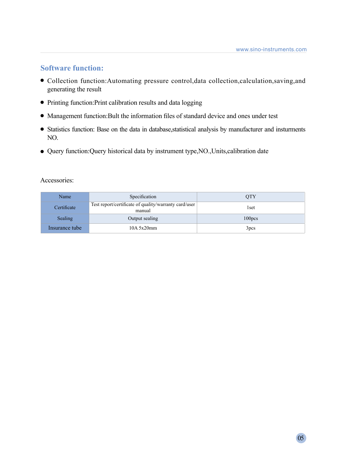## **Software function:**

- Collection function:Automating pressure control,data collection,calculation,saving,and generating the result
- Printing function:Print calibration results and data logging
- Management function:Bult the information files of standard device and ones under test
- Statistics function: Base on the data in database,statistical analysis by manufacturer and insturments NO.
- Query function:Query historical data by instrument type,NO.,Units,calibration date

### Accessories:

| Name           | Specification                                                   | <b>OTY</b>         |
|----------------|-----------------------------------------------------------------|--------------------|
| Certificate    | Test report/certificate of quality/warranty card/user<br>manual | 1set               |
| Sealing        | Output sealing                                                  | 100 <sub>DCS</sub> |
| Insurance tube | $10A$ 5x20mm                                                    | 3 <sub>pcs</sub>   |